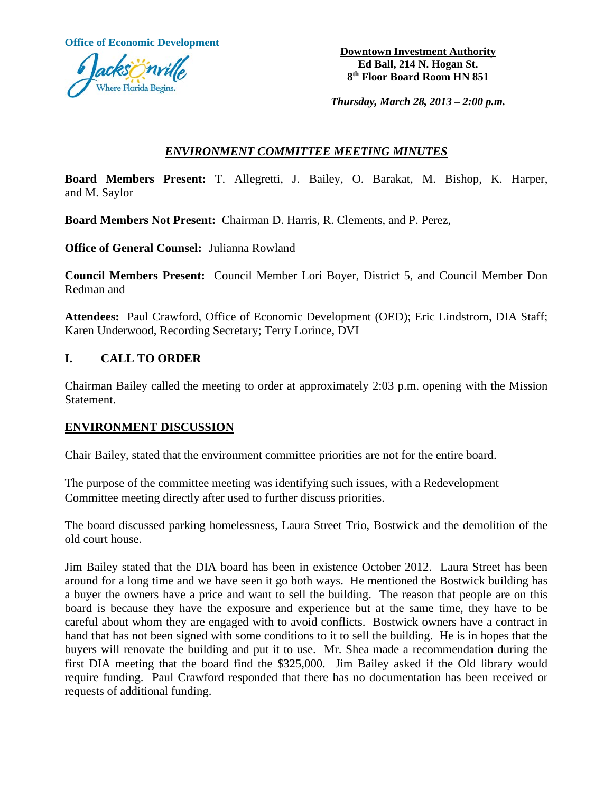**Office of Economic Development Downtown Investment Authority** 



**Ed Ball, 214 N. Hogan St. 8th Floor Board Room HN 851**

*Thursday, March 28, 2013 – 2:00 p.m.*

## *ENVIRONMENT COMMITTEE MEETING MINUTES*

**Board Members Present:** T. Allegretti, J. Bailey, O. Barakat, M. Bishop, K. Harper, and M. Saylor

**Board Members Not Present:** Chairman D. Harris, R. Clements, and P. Perez,

**Office of General Counsel:** Julianna Rowland

**Council Members Present:** Council Member Lori Boyer, District 5, and Council Member Don Redman and

**Attendees:** Paul Crawford, Office of Economic Development (OED); Eric Lindstrom, DIA Staff; Karen Underwood, Recording Secretary; Terry Lorince, DVI

## **I. CALL TO ORDER**

Chairman Bailey called the meeting to order at approximately 2:03 p.m. opening with the Mission Statement.

## **ENVIRONMENT DISCUSSION**

Chair Bailey, stated that the environment committee priorities are not for the entire board.

The purpose of the committee meeting was identifying such issues, with a Redevelopment Committee meeting directly after used to further discuss priorities.

The board discussed parking homelessness, Laura Street Trio, Bostwick and the demolition of the old court house.

Jim Bailey stated that the DIA board has been in existence October 2012. Laura Street has been around for a long time and we have seen it go both ways. He mentioned the Bostwick building has a buyer the owners have a price and want to sell the building. The reason that people are on this board is because they have the exposure and experience but at the same time, they have to be careful about whom they are engaged with to avoid conflicts. Bostwick owners have a contract in hand that has not been signed with some conditions to it to sell the building. He is in hopes that the buyers will renovate the building and put it to use. Mr. Shea made a recommendation during the first DIA meeting that the board find the \$325,000. Jim Bailey asked if the Old library would require funding. Paul Crawford responded that there has no documentation has been received or requests of additional funding.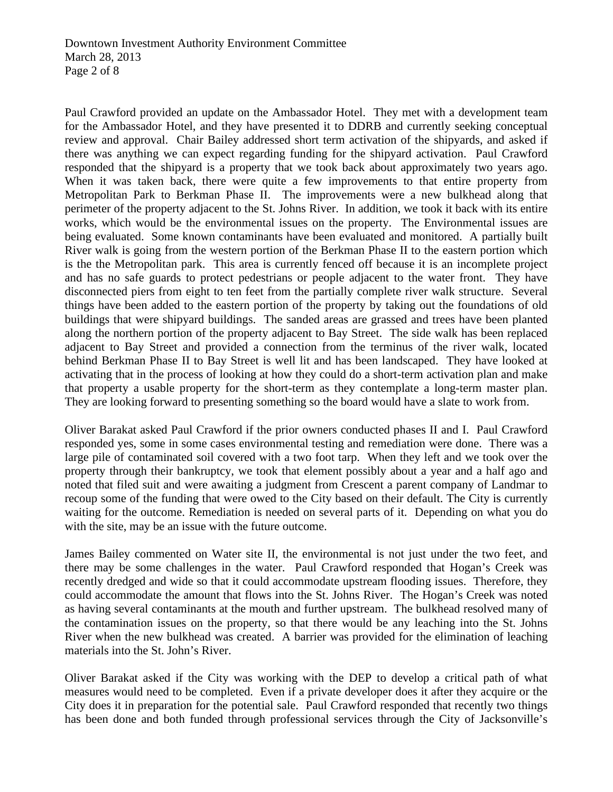Paul Crawford provided an update on the Ambassador Hotel. They met with a development team for the Ambassador Hotel, and they have presented it to DDRB and currently seeking conceptual review and approval. Chair Bailey addressed short term activation of the shipyards, and asked if there was anything we can expect regarding funding for the shipyard activation. Paul Crawford responded that the shipyard is a property that we took back about approximately two years ago. When it was taken back, there were quite a few improvements to that entire property from Metropolitan Park to Berkman Phase II. The improvements were a new bulkhead along that perimeter of the property adjacent to the St. Johns River. In addition, we took it back with its entire works, which would be the environmental issues on the property. The Environmental issues are being evaluated. Some known contaminants have been evaluated and monitored. A partially built River walk is going from the western portion of the Berkman Phase II to the eastern portion which is the the Metropolitan park. This area is currently fenced off because it is an incomplete project and has no safe guards to protect pedestrians or people adjacent to the water front. They have disconnected piers from eight to ten feet from the partially complete river walk structure. Several things have been added to the eastern portion of the property by taking out the foundations of old buildings that were shipyard buildings. The sanded areas are grassed and trees have been planted along the northern portion of the property adjacent to Bay Street. The side walk has been replaced adjacent to Bay Street and provided a connection from the terminus of the river walk, located behind Berkman Phase II to Bay Street is well lit and has been landscaped. They have looked at activating that in the process of looking at how they could do a short-term activation plan and make that property a usable property for the short-term as they contemplate a long-term master plan. They are looking forward to presenting something so the board would have a slate to work from.

Oliver Barakat asked Paul Crawford if the prior owners conducted phases II and I. Paul Crawford responded yes, some in some cases environmental testing and remediation were done. There was a large pile of contaminated soil covered with a two foot tarp. When they left and we took over the property through their bankruptcy, we took that element possibly about a year and a half ago and noted that filed suit and were awaiting a judgment from Crescent a parent company of Landmar to recoup some of the funding that were owed to the City based on their default. The City is currently waiting for the outcome. Remediation is needed on several parts of it. Depending on what you do with the site, may be an issue with the future outcome.

James Bailey commented on Water site II, the environmental is not just under the two feet, and there may be some challenges in the water. Paul Crawford responded that Hogan's Creek was recently dredged and wide so that it could accommodate upstream flooding issues. Therefore, they could accommodate the amount that flows into the St. Johns River. The Hogan's Creek was noted as having several contaminants at the mouth and further upstream. The bulkhead resolved many of the contamination issues on the property, so that there would be any leaching into the St. Johns River when the new bulkhead was created. A barrier was provided for the elimination of leaching materials into the St. John's River.

Oliver Barakat asked if the City was working with the DEP to develop a critical path of what measures would need to be completed. Even if a private developer does it after they acquire or the City does it in preparation for the potential sale. Paul Crawford responded that recently two things has been done and both funded through professional services through the City of Jacksonville's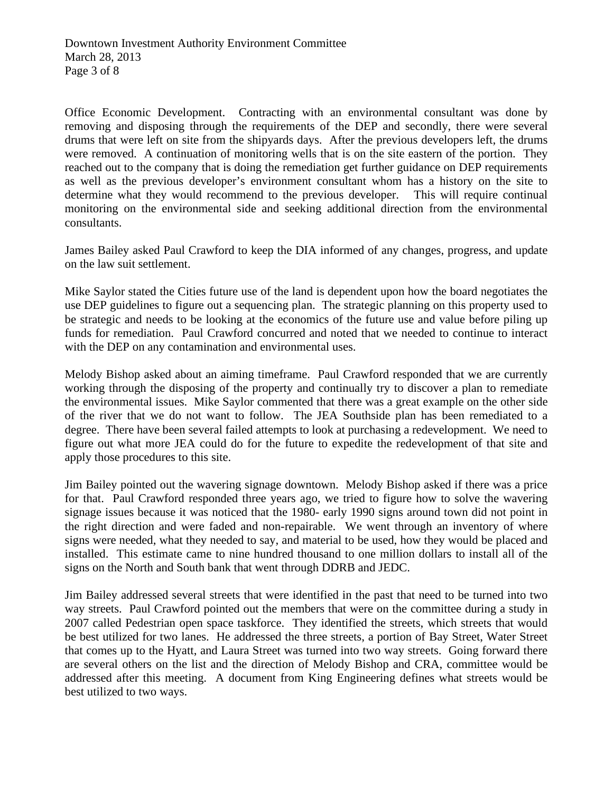Office Economic Development. Contracting with an environmental consultant was done by removing and disposing through the requirements of the DEP and secondly, there were several drums that were left on site from the shipyards days. After the previous developers left, the drums were removed. A continuation of monitoring wells that is on the site eastern of the portion. They reached out to the company that is doing the remediation get further guidance on DEP requirements as well as the previous developer's environment consultant whom has a history on the site to determine what they would recommend to the previous developer. This will require continual monitoring on the environmental side and seeking additional direction from the environmental consultants.

James Bailey asked Paul Crawford to keep the DIA informed of any changes, progress, and update on the law suit settlement.

Mike Saylor stated the Cities future use of the land is dependent upon how the board negotiates the use DEP guidelines to figure out a sequencing plan. The strategic planning on this property used to be strategic and needs to be looking at the economics of the future use and value before piling up funds for remediation. Paul Crawford concurred and noted that we needed to continue to interact with the DEP on any contamination and environmental uses.

Melody Bishop asked about an aiming timeframe. Paul Crawford responded that we are currently working through the disposing of the property and continually try to discover a plan to remediate the environmental issues. Mike Saylor commented that there was a great example on the other side of the river that we do not want to follow. The JEA Southside plan has been remediated to a degree. There have been several failed attempts to look at purchasing a redevelopment. We need to figure out what more JEA could do for the future to expedite the redevelopment of that site and apply those procedures to this site.

Jim Bailey pointed out the wavering signage downtown. Melody Bishop asked if there was a price for that. Paul Crawford responded three years ago, we tried to figure how to solve the wavering signage issues because it was noticed that the 1980- early 1990 signs around town did not point in the right direction and were faded and non-repairable. We went through an inventory of where signs were needed, what they needed to say, and material to be used, how they would be placed and installed. This estimate came to nine hundred thousand to one million dollars to install all of the signs on the North and South bank that went through DDRB and JEDC.

Jim Bailey addressed several streets that were identified in the past that need to be turned into two way streets. Paul Crawford pointed out the members that were on the committee during a study in 2007 called Pedestrian open space taskforce. They identified the streets, which streets that would be best utilized for two lanes. He addressed the three streets, a portion of Bay Street, Water Street that comes up to the Hyatt, and Laura Street was turned into two way streets. Going forward there are several others on the list and the direction of Melody Bishop and CRA, committee would be addressed after this meeting. A document from King Engineering defines what streets would be best utilized to two ways.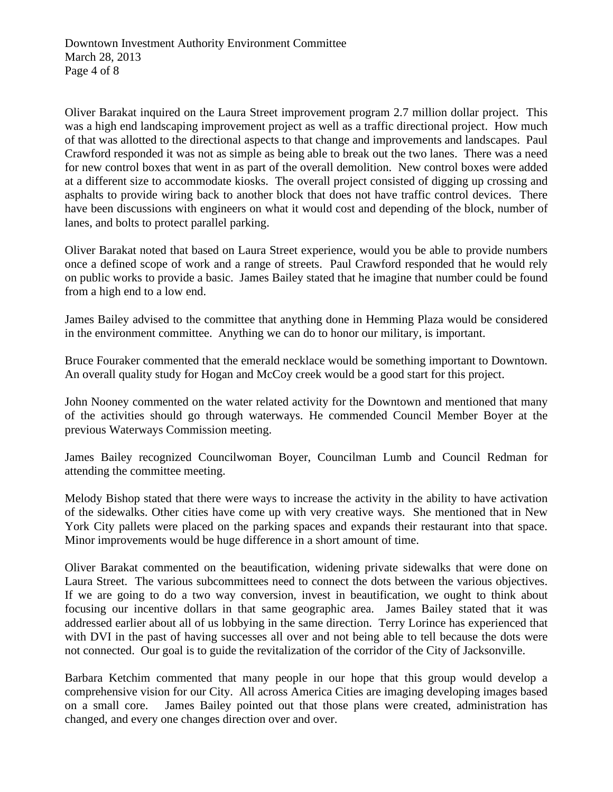Oliver Barakat inquired on the Laura Street improvement program 2.7 million dollar project. This was a high end landscaping improvement project as well as a traffic directional project. How much of that was allotted to the directional aspects to that change and improvements and landscapes. Paul Crawford responded it was not as simple as being able to break out the two lanes. There was a need for new control boxes that went in as part of the overall demolition. New control boxes were added at a different size to accommodate kiosks. The overall project consisted of digging up crossing and asphalts to provide wiring back to another block that does not have traffic control devices. There have been discussions with engineers on what it would cost and depending of the block, number of lanes, and bolts to protect parallel parking.

Oliver Barakat noted that based on Laura Street experience, would you be able to provide numbers once a defined scope of work and a range of streets. Paul Crawford responded that he would rely on public works to provide a basic. James Bailey stated that he imagine that number could be found from a high end to a low end.

James Bailey advised to the committee that anything done in Hemming Plaza would be considered in the environment committee. Anything we can do to honor our military, is important.

Bruce Fouraker commented that the emerald necklace would be something important to Downtown. An overall quality study for Hogan and McCoy creek would be a good start for this project.

John Nooney commented on the water related activity for the Downtown and mentioned that many of the activities should go through waterways. He commended Council Member Boyer at the previous Waterways Commission meeting.

James Bailey recognized Councilwoman Boyer, Councilman Lumb and Council Redman for attending the committee meeting.

Melody Bishop stated that there were ways to increase the activity in the ability to have activation of the sidewalks. Other cities have come up with very creative ways. She mentioned that in New York City pallets were placed on the parking spaces and expands their restaurant into that space. Minor improvements would be huge difference in a short amount of time.

Oliver Barakat commented on the beautification, widening private sidewalks that were done on Laura Street. The various subcommittees need to connect the dots between the various objectives. If we are going to do a two way conversion, invest in beautification, we ought to think about focusing our incentive dollars in that same geographic area. James Bailey stated that it was addressed earlier about all of us lobbying in the same direction. Terry Lorince has experienced that with DVI in the past of having successes all over and not being able to tell because the dots were not connected. Our goal is to guide the revitalization of the corridor of the City of Jacksonville.

Barbara Ketchim commented that many people in our hope that this group would develop a comprehensive vision for our City. All across America Cities are imaging developing images based on a small core. James Bailey pointed out that those plans were created, administration has changed, and every one changes direction over and over.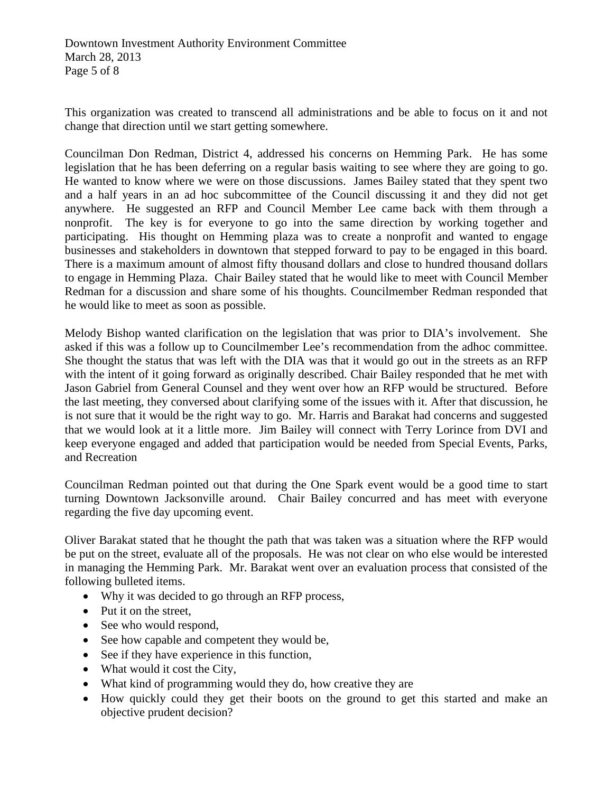This organization was created to transcend all administrations and be able to focus on it and not change that direction until we start getting somewhere.

Councilman Don Redman, District 4, addressed his concerns on Hemming Park. He has some legislation that he has been deferring on a regular basis waiting to see where they are going to go. He wanted to know where we were on those discussions. James Bailey stated that they spent two and a half years in an ad hoc subcommittee of the Council discussing it and they did not get anywhere. He suggested an RFP and Council Member Lee came back with them through a nonprofit. The key is for everyone to go into the same direction by working together and participating. His thought on Hemming plaza was to create a nonprofit and wanted to engage businesses and stakeholders in downtown that stepped forward to pay to be engaged in this board. There is a maximum amount of almost fifty thousand dollars and close to hundred thousand dollars to engage in Hemming Plaza. Chair Bailey stated that he would like to meet with Council Member Redman for a discussion and share some of his thoughts. Councilmember Redman responded that he would like to meet as soon as possible.

Melody Bishop wanted clarification on the legislation that was prior to DIA's involvement. She asked if this was a follow up to Councilmember Lee's recommendation from the adhoc committee. She thought the status that was left with the DIA was that it would go out in the streets as an RFP with the intent of it going forward as originally described. Chair Bailey responded that he met with Jason Gabriel from General Counsel and they went over how an RFP would be structured. Before the last meeting, they conversed about clarifying some of the issues with it. After that discussion, he is not sure that it would be the right way to go. Mr. Harris and Barakat had concerns and suggested that we would look at it a little more. Jim Bailey will connect with Terry Lorince from DVI and keep everyone engaged and added that participation would be needed from Special Events, Parks, and Recreation

Councilman Redman pointed out that during the One Spark event would be a good time to start turning Downtown Jacksonville around. Chair Bailey concurred and has meet with everyone regarding the five day upcoming event.

Oliver Barakat stated that he thought the path that was taken was a situation where the RFP would be put on the street, evaluate all of the proposals. He was not clear on who else would be interested in managing the Hemming Park. Mr. Barakat went over an evaluation process that consisted of the following bulleted items.

- Why it was decided to go through an RFP process,
- Put it on the street,
- See who would respond,
- See how capable and competent they would be,
- See if they have experience in this function,
- What would it cost the City,
- What kind of programming would they do, how creative they are
- How quickly could they get their boots on the ground to get this started and make an objective prudent decision?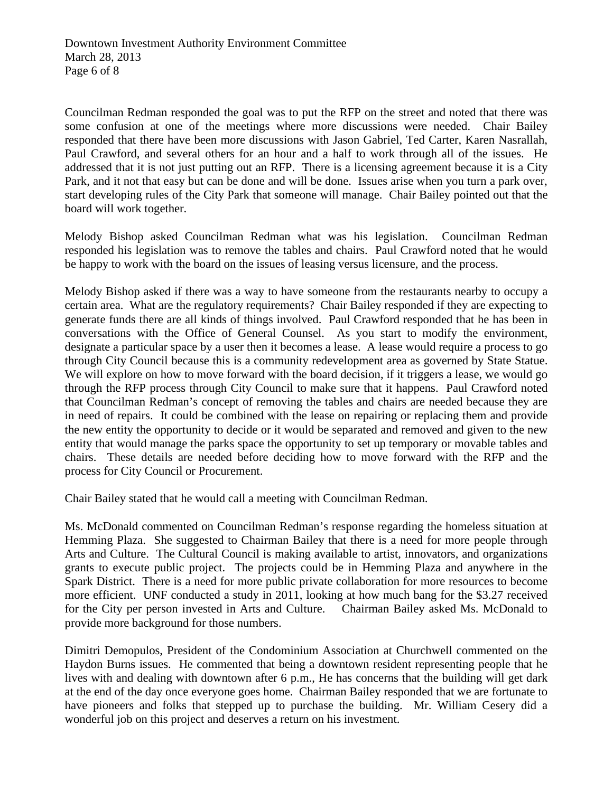Councilman Redman responded the goal was to put the RFP on the street and noted that there was some confusion at one of the meetings where more discussions were needed. Chair Bailey responded that there have been more discussions with Jason Gabriel, Ted Carter, Karen Nasrallah, Paul Crawford, and several others for an hour and a half to work through all of the issues. He addressed that it is not just putting out an RFP. There is a licensing agreement because it is a City Park, and it not that easy but can be done and will be done. Issues arise when you turn a park over, start developing rules of the City Park that someone will manage. Chair Bailey pointed out that the board will work together.

Melody Bishop asked Councilman Redman what was his legislation. Councilman Redman responded his legislation was to remove the tables and chairs. Paul Crawford noted that he would be happy to work with the board on the issues of leasing versus licensure, and the process.

Melody Bishop asked if there was a way to have someone from the restaurants nearby to occupy a certain area. What are the regulatory requirements? Chair Bailey responded if they are expecting to generate funds there are all kinds of things involved. Paul Crawford responded that he has been in conversations with the Office of General Counsel. As you start to modify the environment, designate a particular space by a user then it becomes a lease. A lease would require a process to go through City Council because this is a community redevelopment area as governed by State Statue. We will explore on how to move forward with the board decision, if it triggers a lease, we would go through the RFP process through City Council to make sure that it happens. Paul Crawford noted that Councilman Redman's concept of removing the tables and chairs are needed because they are in need of repairs. It could be combined with the lease on repairing or replacing them and provide the new entity the opportunity to decide or it would be separated and removed and given to the new entity that would manage the parks space the opportunity to set up temporary or movable tables and chairs. These details are needed before deciding how to move forward with the RFP and the process for City Council or Procurement.

Chair Bailey stated that he would call a meeting with Councilman Redman.

Ms. McDonald commented on Councilman Redman's response regarding the homeless situation at Hemming Plaza. She suggested to Chairman Bailey that there is a need for more people through Arts and Culture. The Cultural Council is making available to artist, innovators, and organizations grants to execute public project. The projects could be in Hemming Plaza and anywhere in the Spark District. There is a need for more public private collaboration for more resources to become more efficient. UNF conducted a study in 2011, looking at how much bang for the \$3.27 received for the City per person invested in Arts and Culture. Chairman Bailey asked Ms. McDonald to provide more background for those numbers.

Dimitri Demopulos, President of the Condominium Association at Churchwell commented on the Haydon Burns issues. He commented that being a downtown resident representing people that he lives with and dealing with downtown after 6 p.m., He has concerns that the building will get dark at the end of the day once everyone goes home. Chairman Bailey responded that we are fortunate to have pioneers and folks that stepped up to purchase the building. Mr. William Cesery did a wonderful job on this project and deserves a return on his investment.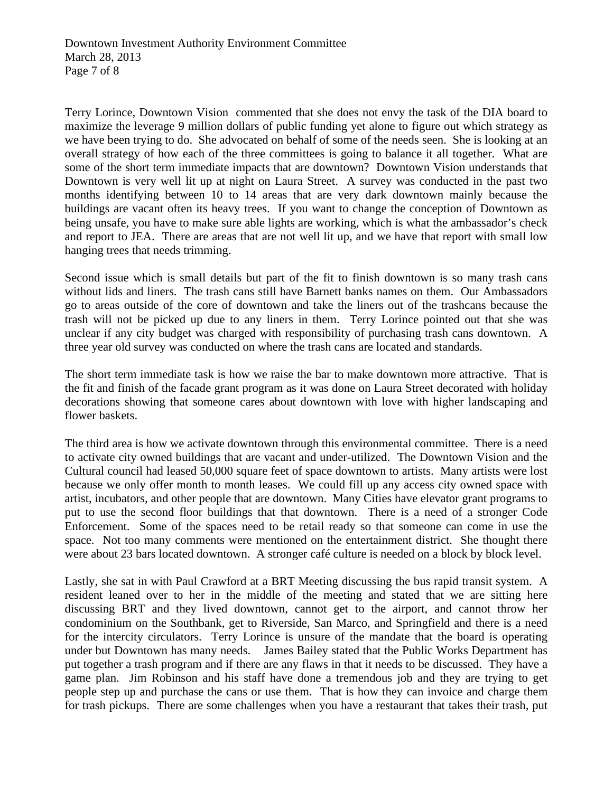Terry Lorince, Downtown Vision commented that she does not envy the task of the DIA board to maximize the leverage 9 million dollars of public funding yet alone to figure out which strategy as we have been trying to do. She advocated on behalf of some of the needs seen. She is looking at an overall strategy of how each of the three committees is going to balance it all together. What are some of the short term immediate impacts that are downtown? Downtown Vision understands that Downtown is very well lit up at night on Laura Street. A survey was conducted in the past two months identifying between 10 to 14 areas that are very dark downtown mainly because the buildings are vacant often its heavy trees. If you want to change the conception of Downtown as being unsafe, you have to make sure able lights are working, which is what the ambassador's check and report to JEA. There are areas that are not well lit up, and we have that report with small low hanging trees that needs trimming.

Second issue which is small details but part of the fit to finish downtown is so many trash cans without lids and liners. The trash cans still have Barnett banks names on them. Our Ambassadors go to areas outside of the core of downtown and take the liners out of the trashcans because the trash will not be picked up due to any liners in them. Terry Lorince pointed out that she was unclear if any city budget was charged with responsibility of purchasing trash cans downtown. A three year old survey was conducted on where the trash cans are located and standards.

The short term immediate task is how we raise the bar to make downtown more attractive. That is the fit and finish of the facade grant program as it was done on Laura Street decorated with holiday decorations showing that someone cares about downtown with love with higher landscaping and flower baskets.

The third area is how we activate downtown through this environmental committee. There is a need to activate city owned buildings that are vacant and under-utilized. The Downtown Vision and the Cultural council had leased 50,000 square feet of space downtown to artists. Many artists were lost because we only offer month to month leases. We could fill up any access city owned space with artist, incubators, and other people that are downtown. Many Cities have elevator grant programs to put to use the second floor buildings that that downtown. There is a need of a stronger Code Enforcement. Some of the spaces need to be retail ready so that someone can come in use the space. Not too many comments were mentioned on the entertainment district. She thought there were about 23 bars located downtown. A stronger café culture is needed on a block by block level.

Lastly, she sat in with Paul Crawford at a BRT Meeting discussing the bus rapid transit system. A resident leaned over to her in the middle of the meeting and stated that we are sitting here discussing BRT and they lived downtown, cannot get to the airport, and cannot throw her condominium on the Southbank, get to Riverside, San Marco, and Springfield and there is a need for the intercity circulators. Terry Lorince is unsure of the mandate that the board is operating under but Downtown has many needs. James Bailey stated that the Public Works Department has put together a trash program and if there are any flaws in that it needs to be discussed. They have a game plan. Jim Robinson and his staff have done a tremendous job and they are trying to get people step up and purchase the cans or use them. That is how they can invoice and charge them for trash pickups. There are some challenges when you have a restaurant that takes their trash, put